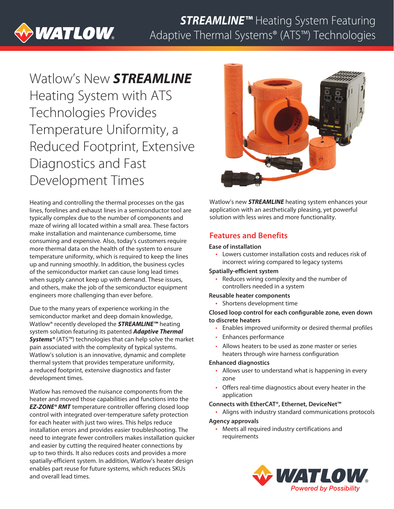# **WATLOW**

## *STREAMLINE™* Heating System Featuring Adaptive Thermal Systems® (ATS™) Technologies

## Watlow's New *STREAMLINE* Heating System with ATS Technologies Provides Temperature Uniformity, a Reduced Footprint, Extensive Diagnostics and Fast Development Times

Heating and controlling the thermal processes on the gas lines, forelines and exhaust lines in a semiconductor tool are typically complex due to the number of components and maze of wiring all located within a small area. These factors make installation and maintenance cumbersome, time consuming and expensive. Also, today's customers require more thermal data on the health of the system to ensure temperature uniformity, which is required to keep the lines up and running smoothly. In addition, the business cycles of the semiconductor market can cause long lead times when supply cannot keep up with demand. These issues, and others, make the job of the semiconductor equipment engineers more challenging than ever before.

Due to the many years of experience working in the semiconductor market and deep domain knowledge, Watlow® recently developed the *STREAMLINE™* heating system solution featuring its patented *Adaptive Thermal Systems®* (ATS™) technologies that can help solve the market pain associated with the complexity of typical systems. Watlow's solution is an innovative, dynamic and complete thermal system that provides temperature uniformity, a reduced footprint, extensive diagnostics and faster development times.

Watlow has removed the nuisance components from the heater and moved those capabilities and functions into the *EZ-ZONE® RMT* temperature controller offering closed loop control with integrated over-temperature safety protection for each heater with just two wires. This helps reduce installation errors and provides easier troubleshooting. The need to integrate fewer controllers makes installation quicker and easier by cutting the required heater connections by up to two thirds. It also reduces costs and provides a more spatially-efficient system. In addition, Watlow's heater design enables part reuse for future systems, which reduces SKUs and overall lead times.



Watlow's new *STREAMLINE* heating system enhances your application with an aesthetically pleasing, yet powerful solution with less wires and more functionality.

### **Features and Benefits**

#### **Ease of installation**

• Lowers customer installation costs and reduces risk of incorrect wiring compared to legacy systems

#### **Spatially-efficient system**

• Reduces wiring complexity and the number of controllers needed in a system

#### **Reusable heater components**

• Shortens development time

#### **Closed loop control for each configurable zone, even down to discrete heaters**

- Enables improved uniformity or desired thermal profiles
- Enhances performance
- Allows heaters to be used as zone master or series heaters through wire harness configuration

#### **Enhanced diagnostics**

- Allows user to understand what is happening in every zone
- Offers real-time diagnostics about every heater in the application

#### **Connects with EtherCAT®, Ethernet, DeviceNet™**

- Aligns with industry standard communications protocols **Agency approvals**
	- Meets all required industry certifications and requirements